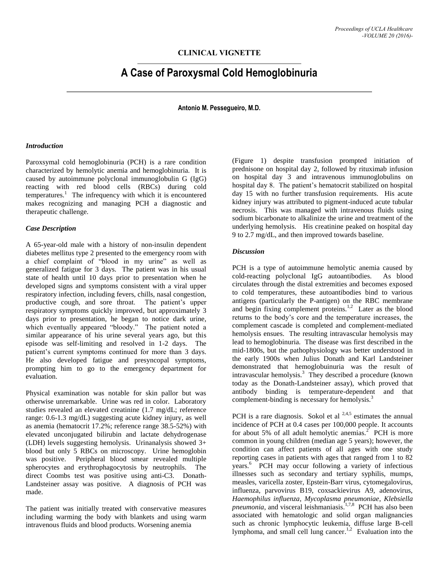# **CLINICAL VIGNETTE**

# **A Case of Paroxysmal Cold Hemoglobinuria**

**Antonio M. Pessegueiro, M.D.**

# *Introduction*

Paroxsymal cold hemoglobinuria (PCH) is a rare condition characterized by hemolytic anemia and hemoglobinuria. It is caused by autoimmune polyclonal immunoglobulin G (IgG) reacting with red blood cells (RBCs) during cold  $t$ emperatures.<sup>1</sup> The infrequency with which it is encountered makes recognizing and managing PCH a diagnostic and therapeutic challenge.

#### *Case Description*

A 65-year-old male with a history of non-insulin dependent diabetes mellitus type 2 presented to the emergency room with a chief complaint of "blood in my urine" as well as generalized fatigue for 3 days. The patient was in his usual state of health until 10 days prior to presentation when he developed signs and symptoms consistent with a viral upper respiratory infection, including fevers, chills, nasal congestion, productive cough, and sore throat. The patient's upper respiratory symptoms quickly improved, but approximately 3 days prior to presentation, he began to notice dark urine, which eventually appeared "bloody." The patient noted a similar appearance of his urine several years ago, but this episode was self-limiting and resolved in 1-2 days. The patient's current symptoms continued for more than 3 days. He also developed fatigue and presyncopal symptoms, prompting him to go to the emergency department for evaluation.

Physical examination was notable for skin pallor but was otherwise unremarkable. Urine was red in color. Laboratory studies revealed an elevated creatinine (1.7 mg/dL; reference range: 0.6-1.3 mg/dL) suggesting acute kidney injury, as well as anemia (hematocrit 17.2%; reference range 38.5-52%) with elevated unconjugated bilirubin and lactate dehydrogenase (LDH) levels suggesting hemolysis. Urinanalysis showed 3+ blood but only 5 RBCs on microscopy. Urine hemoglobin was positive. Peripheral blood smear revealed multiple spherocytes and erythrophagocytosis by neutrophils. The direct Coombs test was positive using anti-C3. Donath-Landsteiner assay was positive. A diagnosis of PCH was made.

The patient was initially treated with conservative measures including warming the body with blankets and using warm intravenous fluids and blood products. Worsening anemia

(Figure 1) despite transfusion prompted initiation of prednisone on hospital day 2, followed by rituximab infusion on hospital day 3 and intravenous immunoglobulins on hospital day 8. The patient's hematocrit stabilized on hospital day 15 with no further transfusion requirements. His acute kidney injury was attributed to pigment-induced acute tubular necrosis. This was managed with intravenous fluids using sodium bicarbonate to alkalinize the urine and treatment of the underlying hemolysis. His creatinine peaked on hospital day 9 to 2.7 mg/dL, and then improved towards baseline.

#### *Discussion*

PCH is a type of autoimmune hemolytic anemia caused by cold-reacting polyclonal IgG autoantibodies. As blood circulates through the distal extremities and becomes exposed to cold temperatures, these autoantibodies bind to various antigens (particularly the P-antigen) on the RBC membrane and begin fixing complement proteins.<sup>1,2</sup> Later as the blood returns to the body's core and the temperature increases, the complement cascade is completed and complement-mediated hemolysis ensues. The resulting intravascular hemolysis may lead to hemoglobinuria. The disease was first described in the mid-1800s, but the pathophysiology was better understood in the early 1900s when Julius Donath and Karl Landsteiner demonstrated that hemoglobuinuria was the result of intravascular hemolysis.<sup>3</sup> They described a procedure (known today as the Donath-Landsteiner assay), which proved that antibody binding is temperature-dependent and that complement-binding is necessary for hemolysis.<sup>3</sup>

PCH is a rare diagnosis. Sokol et al  $^{2,4,5}$  estimates the annual incidence of PCH at 0.4 cases per 100,000 people. It accounts for about 5% of all adult hemolytic anemias.<sup>2</sup> PCH is more common in young children (median age 5 years); however, the condition can affect patients of all ages with one study reporting cases in patients with ages that ranged from 1 to 82 years.<sup>6</sup> PCH may occur following a variety of infectious illnesses such as secondary and tertiary syphilis, mumps, measles, varicella zoster, Epstein-Barr virus, cytomegalovirus, influenza, parvovirus B19, coxsackievirus A9, adenovirus, *Haemophilus influenza*, *Mycoplasma pneumoniae*, *Klebsiella*  pneumonia, and visceral leishmaniasis.<sup>1,7,8</sup> PCH has also been associated with hematologic and solid organ malignancies such as chronic lymphocytic leukemia, diffuse large B-cell lymphoma, and small cell lung cancer.<sup>1,2</sup> Evaluation into the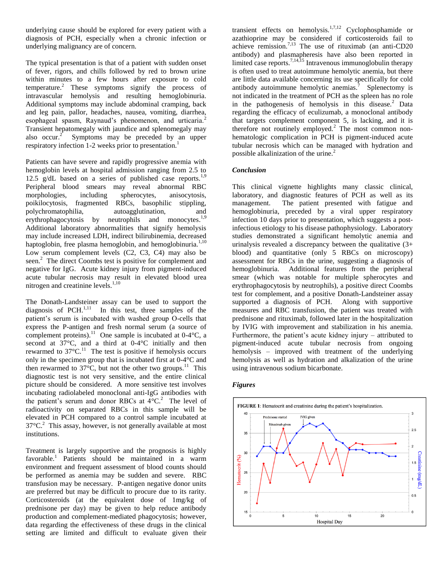underlying cause should be explored for every patient with a diagnosis of PCH, especially when a chronic infection or underlying malignancy are of concern.

The typical presentation is that of a patient with sudden onset of fever, rigors, and chills followed by red to brown urine within minutes to a few hours after exposure to cold temperature.<sup>2</sup> These symptoms signify the process of intravascular hemolysis and resulting hemoglobinuria. Additional symptoms may include abdominal cramping, back and leg pain, pallor, headaches, nausea, vomiting, diarrhea, esophageal spasm, Raynaud's phenomenon, and urticaria.<sup>2</sup> Transient hepatomegaly with jaundice and splenomegaly may also occur. $2$  Symptoms may be preceded by an upper respiratory infection 1-2 weeks prior to presentation.<sup>1</sup>

Patients can have severe and rapidly progressive anemia with hemoglobin levels at hospital admission ranging from 2.5 to 12.5  $g/dL$  based on a series of published case reports.<sup>1,9</sup> Peripheral blood smears may reveal abnormal RBC morphologies, including spherocytes, anisocytosis, poikilocytosis, fragmented RBCs, basophilic stippling, polychromatophilia, autoagglutination, and erythrophagocytosis by neutrophils and monocytes.<sup>1,9</sup> Additional laboratory abnormalities that signify hemolysis may include increased LDH, indirect bilirubinemia, decreased haptoglobin, free plasma hemoglobin, and hemoglobinuria. $1,10$ Low serum complement levels (C2, C3, C4) may also be seen.<sup>2</sup> The direct Coombs test is positive for complement and negative for IgG. Acute kidney injury from pigment-induced acute tubular necrosis may result in elevated blood urea nitrogen and creatinine levels. $1,10$ 

The Donath-Landsteiner assay can be used to support the diagnosis of PCH. $^{1,11}$  In this test, three samples of the patient's serum is incubated with washed group O-cells that express the P-antigen and fresh normal serum (a source of complement proteins).<sup>11</sup> One sample is incubated at  $0-4^{\circ}$ C, a second at 37°C, and a third at 0-4°C initially and then rewarmed to  $37^{\circ}$ C.<sup>11</sup> The test is positive if hemolysis occurs only in the specimen group that is incubated first at 0-4°C and then rewarmed to  $37^{\circ}$ C, but not the other two groups.<sup>11</sup> This diagnostic test is not very sensitive, and the entire clinical picture should be considered. A more sensitive test involves incubating radiolabeled monoclonal anti-IgG antibodies with the patient's serum and donor RBCs at  $4^{\circ}$ C.<sup>2</sup> The level of radioactivity on separated RBCs in this sample will be elevated in PCH compared to a control sample incubated at  $37^{\circ}$ C.<sup>2</sup> This assay, however, is not generally available at most institutions.

Treatment is largely supportive and the prognosis is highly favorable.<sup>1</sup> Patients should be maintained in a warm environment and frequent assessment of blood counts should be performed as anemia may be sudden and severe. RBC transfusion may be necessary. P-antigen negative donor units are preferred but may be difficult to procure due to its rarity. Corticosteroids (at the equivalent dose of 1mg/kg of prednisone per day) may be given to help reduce antibody production and complement-mediated phagocytosis; however, data regarding the effectiveness of these drugs in the clinical setting are limited and difficult to evaluate given their

transient effects on hemolysis.<sup>1,7,12</sup> Cyclophosphamide or azathioprine may be considered if corticosteroids fail to achieve remission.<sup>7,13</sup> The use of rituximab (an anti-CD20 antibody) and plasmapheresis have also been reported in limited case reports.<sup>7,14,15</sup> Intravenous immunoglobulin therapy is often used to treat autoimmune hemolytic anemia, but there are little data available concerning its use specifically for cold antibody autoimmune hemolytic anemias.<sup> $7$ </sup> Splenectomy is not indicated in the treatment of PCH as the spleen has no role in the pathogenesis of hemolysis in this disease.<sup>2</sup> Data regarding the efficacy of eculizumab, a monoclonal antibody that targets complement component 5, is lacking, and it is therefore not routinely employed.<sup>2</sup> The most common nonhematologic complication in PCH is pigment-induced acute tubular necrosis which can be managed with hydration and possible alkalinization of the urine. $2$ 

# *Conclusion*

This clinical vignette highlights many classic clinical, laboratory, and diagnostic features of PCH as well as its management. The patient presented with fatigue and hemoglobinuria, preceded by a viral upper respiratory infection 10 days prior to presentation, which suggests a postinfectious etiology to his disease pathophysiology. Laboratory studies demonstrated a significant hemolytic anemia and urinalysis revealed a discrepancy between the qualitative  $(3+)$ blood) and quantitative (only 5 RBCs on microscopy) assessment for RBCs in the urine, suggesting a diagnosis of hemoglobinuria. Additional features from the peripheral smear (which was notable for multiple spherocytes and erythrophagocytosis by neutrophils), a positive direct Coombs test for complement, and a positive Donath-Landsteiner assay supported a diagnosis of PCH. Along with supportive measures and RBC transfusion, the patient was treated with prednisone and rituximab, followed later in the hospitalization by IVIG with improvement and stabilization in his anemia. Furthermore, the patient's acute kidney injury – attributed to pigment-induced acute tubular necrosis from ongoing hemolysis – improved with treatment of the underlying hemolysis as well as hydration and alkalization of the urine using intravenous sodium bicarbonate.